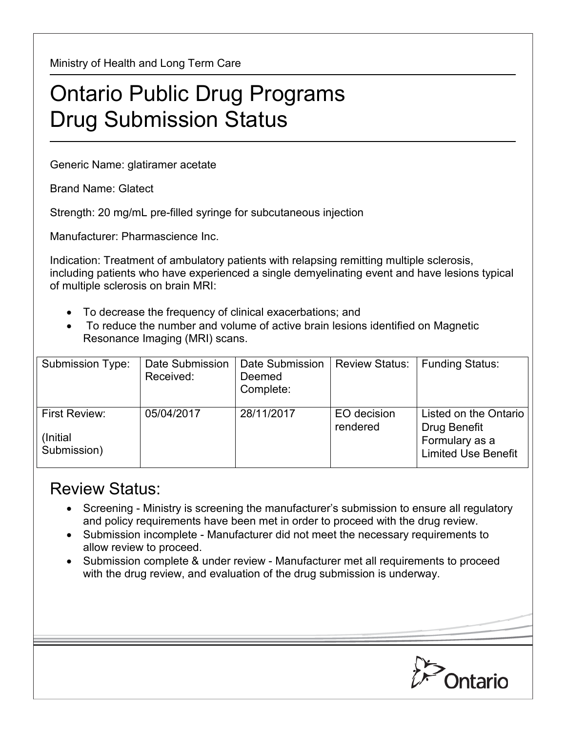Ministry of Health and Long Term Care

## Ontario Public Drug Programs Drug Submission Status

Generic Name: glatiramer acetate

Brand Name: Glatect

Strength: 20 mg/mL pre-filled syringe for subcutaneous injection

Manufacturer: Pharmascience Inc.

Indication: Treatment of ambulatory patients with relapsing remitting multiple sclerosis, including patients who have experienced a single demyelinating event and have lesions typical of multiple sclerosis on brain MRI:

- To decrease the frequency of clinical exacerbations; and
- To reduce the number and volume of active brain lesions identified on Magnetic Resonance Imaging (MRI) scans.

| Submission Type:                          | Date Submission<br>Received: | Date Submission<br>Deemed<br>Complete: | <b>Review Status:</b>   | <b>Funding Status:</b>                                                                |
|-------------------------------------------|------------------------------|----------------------------------------|-------------------------|---------------------------------------------------------------------------------------|
| First Review:<br>(Initial)<br>Submission) | 05/04/2017                   | 28/11/2017                             | EO decision<br>rendered | Listed on the Ontario<br>Drug Benefit<br>Formulary as a<br><b>Limited Use Benefit</b> |

## Review Status:

- Screening Ministry is screening the manufacturer's submission to ensure all regulatory and policy requirements have been met in order to proceed with the drug review.
- Submission incomplete Manufacturer did not meet the necessary requirements to allow review to proceed.
- Submission complete & under review Manufacturer met all requirements to proceed with the drug review, and evaluation of the drug submission is underway.